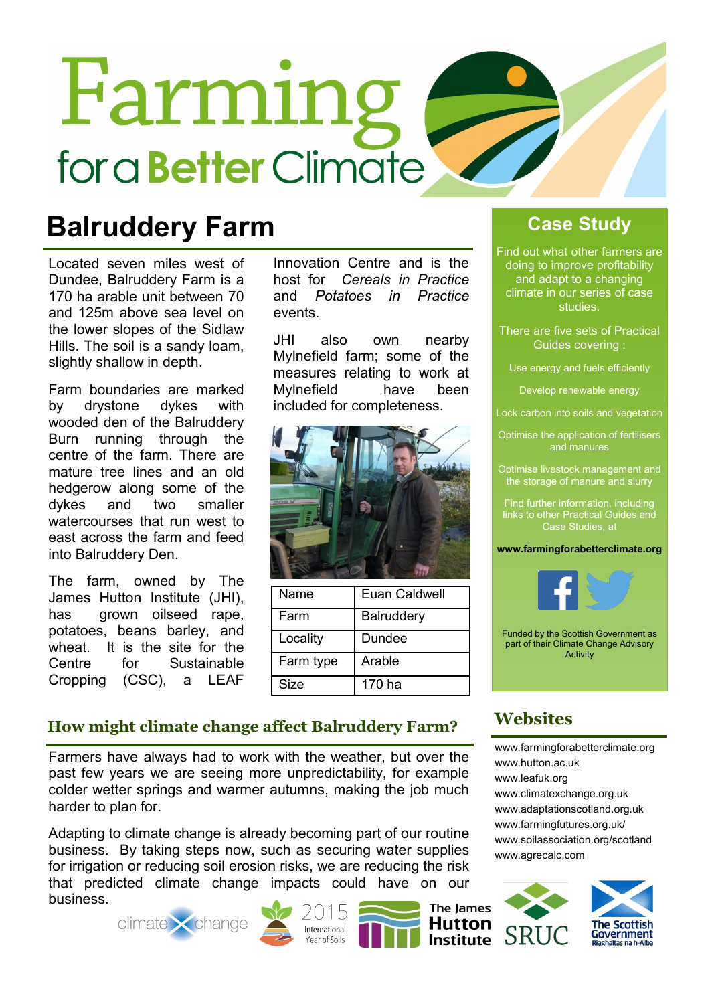# Farming for a **Better** Climate

### **Balruddery Farm**

Located seven miles west of Dundee, Balruddery Farm is a 170 ha arable unit between 70 and 125m above sea level on the lower slopes of the Sidlaw Hills. The soil is a sandy loam, slightly shallow in depth.

Farm boundaries are marked by drystone dykes with wooded den of the Balruddery Burn running through the centre of the farm. There are mature tree lines and an old hedgerow along some of the dykes and two smaller watercourses that run west to east across the farm and feed into Balruddery Den.

The farm, owned by The James Hutton Institute (JHI), has grown oilseed rape, potatoes, beans barley, and wheat. It is the site for the Centre for Sustainable Cropping (CSC), a LEAF

Innovation Centre and is the host for *Cereals in Practice* and *Potatoes in Practice*  events.

JHI also own nearby Mylnefield farm; some of the measures relating to work at Mylnefield have been included for completeness.



| Name        | Euan Caldwell     |
|-------------|-------------------|
| Farm        | <b>Balruddery</b> |
| Locality    | Dundee            |
| Farm type   | Arable            |
| <b>Size</b> | 170 ha            |

#### **Case Study**

Find out what other farmers are doing to improve profitability and adapt to a changing climate in our series of case studies.

There are five sets of Practical Guides covering :

Use energy and fuels efficiently

Develop renewable energy

Lock carbon into soils and vegetation

Optimise the application of fertilisers and manures

Optimise livestock management and the storage of manure and slurry

Find further information, including links to other Practical Guides and Case Studies, at

#### **www.farmingforabetterclimate.org**



Funded by the Scottish Government as part of their Climate Change Advisory Activity

#### **How might climate change affect Balruddery Farm?**

Farmers have always had to work with the weather, but over the past few years we are seeing more unpredictability, for example colder wetter springs and warmer autumns, making the job much harder to plan for.

Adapting to climate change is already becoming part of our routine business. By taking steps now, such as securing water supplies for irrigation or reducing soil erosion risks, we are reducing the risk that predicted climate change impacts could have on our business.









[www.farmingforabetterclimate.org](http://www.farmingforabetterclimate.org) [www.hutton.ac.uk](http://www.hutton.ac.uk/about/facilities/balruddery-farm) [www.leafuk.org](http://www.leafuk.org/leaf/home.eb) [www.climatexchange.org.uk](http://www.climatexchange.org.uk/index.php/cxc-work/cxc-adaptation)

**Websites**

SRI

[www.adaptationscotland.org.uk](http://www.adaptationscotland.org.uk/1/1/0/Home.aspx) [www.farmingfutures.org.uk/](http://www.farmingfutures.org.uk/) [www.soilassociation.org/scotland](http://www.soilassociation.org/scotland) [www.agrecalc.com](http://www.agrecalc.com/)